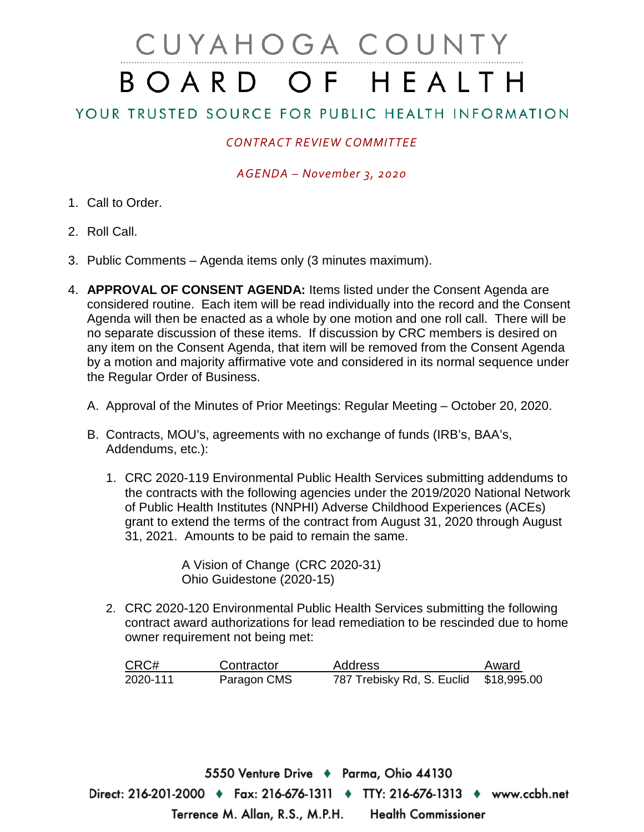# CUYAHOGA COUNTY BOARD OF HEALTH

## YOUR TRUSTED SOURCE FOR PUBLIC HEALTH INFORMATION

### *CONTRACT REVIEW COMMITTEE*

#### *AGENDA – November 3, 2020*

- 1. Call to Order.
- 2. Roll Call.
- 3. Public Comments Agenda items only (3 minutes maximum).
- 4. **APPROVAL OF CONSENT AGENDA:** Items listed under the Consent Agenda are considered routine. Each item will be read individually into the record and the Consent Agenda will then be enacted as a whole by one motion and one roll call. There will be no separate discussion of these items. If discussion by CRC members is desired on any item on the Consent Agenda, that item will be removed from the Consent Agenda by a motion and majority affirmative vote and considered in its normal sequence under the Regular Order of Business.
	- A. Approval of the Minutes of Prior Meetings: Regular Meeting October 20, 2020.
	- B. Contracts, MOU's, agreements with no exchange of funds (IRB's, BAA's, Addendums, etc.):
		- 1. CRC 2020-119 Environmental Public Health Services submitting addendums to the contracts with the following agencies under the 2019/2020 National Network of Public Health Institutes (NNPHI) Adverse Childhood Experiences (ACEs) grant to extend the terms of the contract from August 31, 2020 through August 31, 2021. Amounts to be paid to remain the same.

A Vision of Change (CRC 2020-31) Ohio Guidestone (2020-15)

2. CRC 2020-120 Environmental Public Health Services submitting the following contract award authorizations for lead remediation to be rescinded due to home owner requirement not being met:

| CRC#     | Contractor  | <b>Address</b>                         | Award |
|----------|-------------|----------------------------------------|-------|
| 2020-111 | Paragon CMS | 787 Trebisky Rd, S. Euclid \$18,995.00 |       |

5550 Venture Drive ♦ Parma, Ohio 44130 Direct: 216-201-2000 ♦ Fax: 216-676-1311 ♦ TTY: 216-676-1313 ♦ www.ccbh.net Terrence M. Allan, R.S., M.P.H. **Health Commissioner**